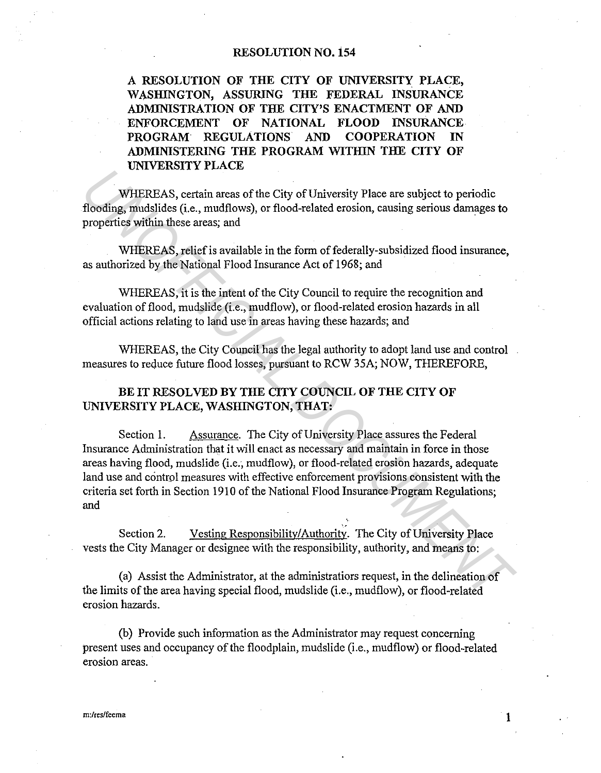## **RESOLUTION NO. 154**

**A RESOLUTION OF THE CITY OF UNIVERSITY PLACE, WASHINGTON, ASSURING THE FEDERAL INSURANCE ADMINISTRATION OF THE CITY'S ENACTMENT OF AND ENFORCEMENT OF NATIONAL FLOOD INSURANCE PROGRAM REGULATIONS AND COOPERATION IN ADMINISTERING THE PROGRAM WITHIN THE CITY OF UNIVERSITY PLACE** 

WHEREAS, certain areas of the City of University Place are subject to periodic flooding, mudslides (i.e., mudflows), or flood-related erosion, causing serious damages **to**  properties within these areas; and

WHEREAS, relief is available in the form of federally-subsidized flood insurance, as authorized by the National Flood Insurance Act of 1968; and

WHEREAS, it is the intent of the City Council to require the recognition and evaluation of flood, mudslide (i.e., mudflow), or flood-related erosion hazards in all official actions relating to land use in areas having these hazards; and

WHEREAS, the City Council has the legal authority to adopt land use and control measures to reduce future flood losses, pursuant to RCW 35A; NOW, THEREFORE,

## BE IT RESOLVED BY THE CITY COUNCIL OF THE CITY OF **UNIVERSITY PLACE, WASHINGTON, THAT:**

Section I. Assurance. The City of University Place assures the Federal Insurance Administration that it will enact as necessary and maintain in force in those areas having flood, mudslide (i.e.; mudflow), or flood-related erosion hazards, adequate land use and control measures with effective enforcement provisions consistent with the criteria set forth in Section 1910 of the National Flood Insurance Program Regulations; and **UNIFICENTS, certain areas of the City of University Place are subject to periodic<br>flooding, mudslides (i.e., muddlows), or flood-related erosion, causing serious damages to<br>properties within these areas; and<br>WHEREAS, reli** 

Section 2. Vesting Responsibility/Authority. The City of University Place vests the City Manager or designee with the responsibility, authority, and means to:

(a) Assist the Administrator, at the administratiors request, in the delineation of the limits of the area having special flood, mudslide (i.e., mudflow), or flood-related erosion hazards.

(b) Provide such information as the Administrator may request concerning present uses and occupancy of the floodplain, mudslide (i.e., mudflow) or flood-related erosion areas.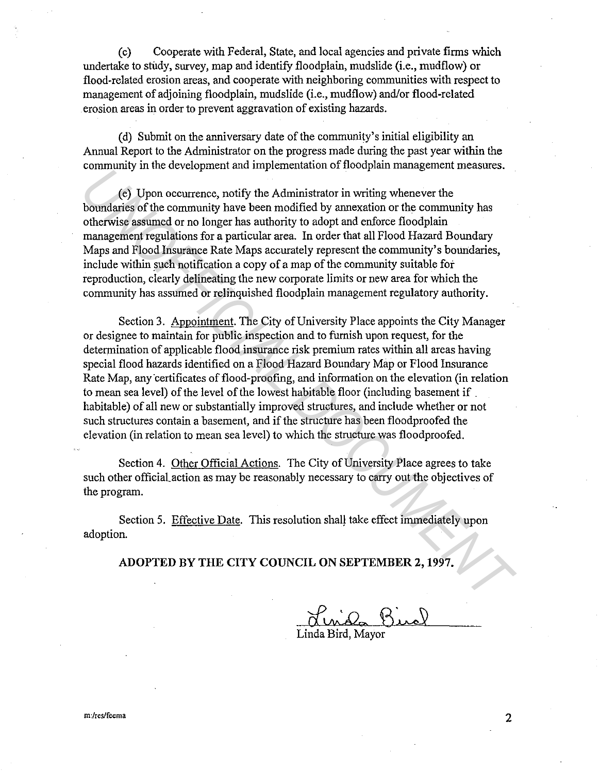(c) Cooperate with Federal, State, and local agencies and private firms which undertake to study, survey, map and identify floodplain, mudslide (i.e., mudflow) or flood-related erosion areas, and cooperate with neighboring communities with respect to management of adjoining floodplain, mudslide (i.e., mudflow) and/or flood-related erosion areas in order to prevent aggravation of existing hazards.

(d) Submit on the anniversary date of the community's initial eligibility an Annual Report to the Administrator on the progress made during the past year within the community in the development and implementation of floodplain management measures.

( e) Upon occurrence, notify the Administrator in writing whenever the boundaries of the community have been modified by annexation or the community has otherwise assumed or no longer has authority to adopt and enforce floodplain management regulations for a particular area. In order that all Flood Hazard Boundary Maps and Flood Insurance Rate Maps accurately represent the community's boundaries, include within such notification a copy of a map of the community suitable fot reproduction, clearly delineating the new corporate limits or new area for which the community has assumed or relinquished floodplain management regulatory authority.

Section 3. Appointment. The City of University Place appoints the City Manager or designee to maintain for public inspection and to furnish upon request, for the determination of applicable flood insurance risk premium rates within all areas having special flood hazards identified on a Flood Hazard Boundary Map or Flood Insurance Rate Map, any certificates of flood-proofing, and information on the elevation (in relation to mean sea level) of the level of the lowest habitable floor (including basement if . habitable) of all new or substantially improved structures, and include whether or not such structures contain a basement, and if the structure has been floodproofed the elevation (in relation to mean sea level) to which the structure was floodproofed. **Example 20** the distribution of *Deophamian* consideration of *Deophamian* consideration in which be Administrator in writing whenever the community has otherwise assumed or no longer has authority to adopt and enforce fl

Section 4. Other Official Actions. The City of University Place agrees to take such other official action as may be reasonably necessary to carry out the objectives of the program.

Section 5. Effective Date. This resolution shall take effect immediately upon adoption.

**ADOPTED BY THE CITY COUNCIL ON SEPTEMBER 2, 1997.** 

Linda Bird, Mayor